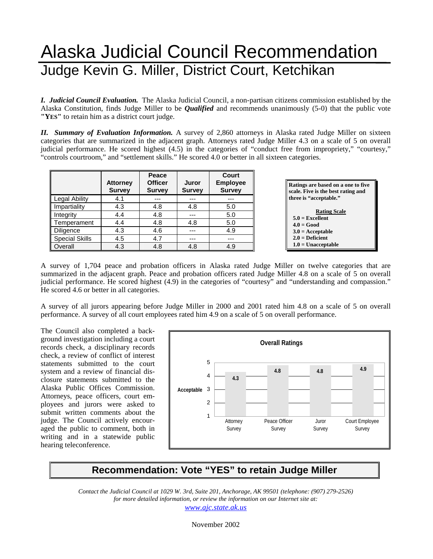## Alaska Judicial Council Recommendation Judge Kevin G. Miller, District Court, Ketchikan

*I. Judicial Council Evaluation.* The Alaska Judicial Council, a non-partisan citizens commission established by the Alaska Constitution, finds Judge Miller to be *Qualified* and recommends unanimously (5-0) that the public vote **"YES"** to retain him as a district court judge.

*II. Summary of Evaluation Information.* A survey of 2,860 attorneys in Alaska rated Judge Miller on sixteen categories that are summarized in the adjacent graph. Attorneys rated Judge Miller 4.3 on a scale of 5 on overall judicial performance. He scored highest (4.5) in the categories of "conduct free from impropriety," "courtesy," "controls courtroom," and "settlement skills." He scored 4.0 or better in all sixteen categories.

|                       | <b>Attorney</b><br><b>Survey</b> | Peace<br><b>Officer</b><br>Juror<br><b>Survey</b><br><b>Survey</b> |     | Court<br><b>Employee</b><br><b>Survey</b> |
|-----------------------|----------------------------------|--------------------------------------------------------------------|-----|-------------------------------------------|
| <b>Legal Ability</b>  | 4.1                              |                                                                    | --- |                                           |
| Impartiality          | 4.3                              | 4.8                                                                | 4.8 | 5.0                                       |
| Integrity             | 4.4                              | 4.8                                                                | --- | 5.0                                       |
| Temperament           | 4.4                              | 4.8                                                                | 4.8 | 5.0                                       |
| <b>Diligence</b>      | 4.3                              | 4.6                                                                | --- | 4.9                                       |
| <b>Special Skills</b> | 4.5                              | 4.7                                                                | --- | ---                                       |
| Overall               | 4.3                              | 4.8                                                                | 4.8 | 4.9                                       |



A survey of 1,704 peace and probation officers in Alaska rated Judge Miller on twelve categories that are summarized in the adjacent graph. Peace and probation officers rated Judge Miller 4.8 on a scale of 5 on overall judicial performance. He scored highest (4.9) in the categories of "courtesy" and "understanding and compassion." He scored 4.6 or better in all categories.

A survey of all jurors appearing before Judge Miller in 2000 and 2001 rated him 4.8 on a scale of 5 on overall performance. A survey of all court employees rated him 4.9 on a scale of 5 on overall performance.

The Council also completed a background investigation including a court records check, a disciplinary records check, a review of conflict of interest statements submitted to the court system and a review of financial disclosure statements submitted to the Alaska Public Offices Commission. Attorneys, peace officers, court employees and jurors were asked to submit written comments about the judge. The Council actively encouraged the public to comment, both in writing and in a statewide public hearing teleconference.



## **Recommendation: Vote "YES" to retain Judge Miller**

*Contact the Judicial Council at 1029 W. 3rd, Suite 201, Anchorage, AK 99501 (telephone: (907) 279-2526) for more detailed information, or review the information on our Internet site at: www.ajc.state.ak.us*

November 2002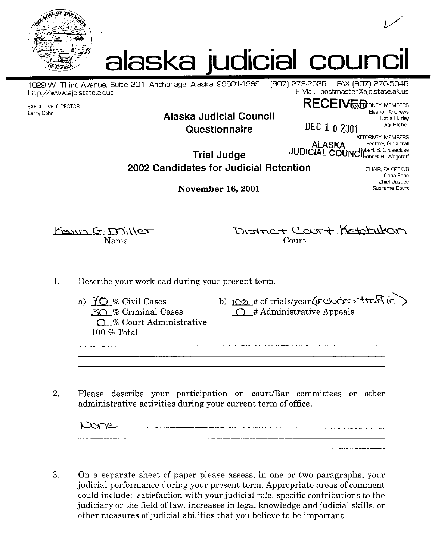



(907) 279-2526

1029 W. Third Avenue, Suite 201, Anchorage, Alaska 99501-1969 http://www.ajc.state.ak.us

**EXECUTIVE DIRECTOR** Larry Cohn

## Alaska Judicial Council Questionnaire

E-Mail: postmaster@ajc.state.ak.us **RECEIVE TO ANNEY MEMBERS** 

FAX (907) 276-5046

Eleanor Andrews Katie Hurley Gigi Pilcher

CHAIR, EX OFFICIO Dana Fabe Chief Justice

DEC 1 0 2001 ATTORNEY MEMBERS Geoffrey G. Currall **ALASKA** JUDICIAL COUNCRebert B. Groseclose

**Trial Judge** 2002 Candidates for Judicial Retention

**November 16, 2001** 

Supreme Court

Koun G Miller Name

District Court Ketchikan Court

- 1. Describe your workload during your present term.
	- a)  $70%$  Civil Cases  $30 \%$  Criminal Cases  $\bigcirc$  % Court Administrative  $100\%$  Total
- b) IOS # of trials/year(includes traffic)  $\bigcirc$  # Administrative Appeals

2. Please describe your participation on court/Bar committees or other administrative activities during your current term of office.

Dane

3. On a separate sheet of paper please assess, in one or two paragraphs, your judicial performance during your present term. Appropriate areas of comment could include: satisfaction with your judicial role, specific contributions to the judiciary or the field of law, increases in legal knowledge and judicial skills, or other measures of judicial abilities that you believe to be important.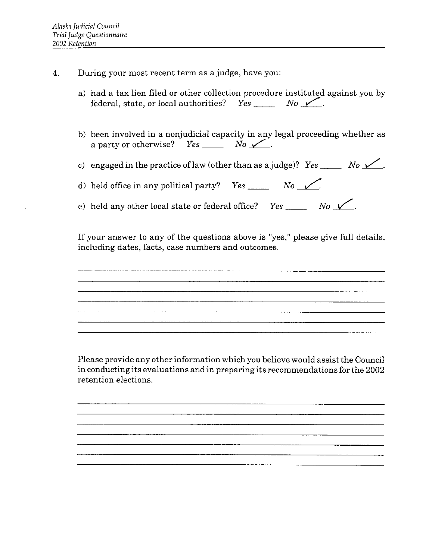- During your most recent term as a judge, have you:  $\overline{4}$ .
	- a) had a tax lien filed or other collection procedure instituted against you by
	- b) been involved in a nonjudicial capacity in any legal proceeding whether as a party or otherwise? Yes \_\_\_\_\_\_ No  $\swarrow$ .

c) engaged in the practice of law (other than as a judge)? Yes \_\_\_\_\_\_ No  $\swarrow$ .

d) held office in any political party? Yes \_\_\_\_\_\_\_ No  $\sqrt{2}$ .

e) held any other local state or federal office? Yes \_\_\_\_\_\_\_ No  $\sqrt{2}$ .

If your answer to any of the questions above is "yes," please give full details, including dates, facts, case numbers and outcomes.

a sa mga bagayan ng mga bago ng mga bago ng mga bago ng mga bago ng mga bago ng mga bago ng mga bago ng mga ba<br>Mga bago ng mga bago ng mga bago ng mga bago ng mga bago ng mga bago ng mga bago ng mga bago ng mga bago ng mg

Please provide any other information which you believe would assist the Council in conducting its evaluations and in preparing its recommendations for the 2002 retention elections.

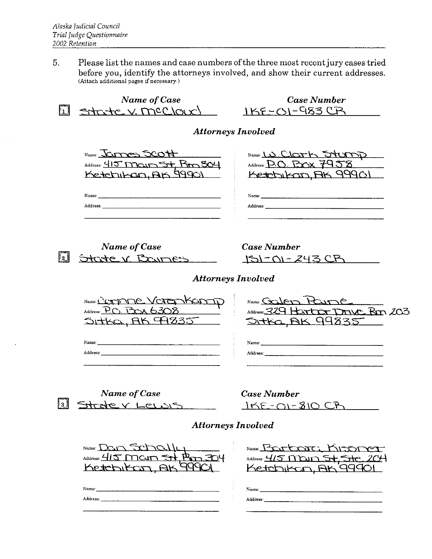Please list the names and case numbers of the three most recent jury cases tried 5. before you, identify the attorneys involved, and show their current addresses. (Attach additional pages if necessary.)

**Name of Case Case Number**  $1KF-S1-S83CR$ State V. MCCloux **Attorneys Involved** Name: James Scott Name: LD CLOTK STUDD Address: 415 Main St, Rm 304 Address: D.O. BOX 7958 Ketchikan, AK 99901 Ketchikan, AK 99901 Name: Name: Address: **Name of Case Case Number** State V Barnes  $\mathbb{I}_2$  | 151-01-243 CB **Attorneys Involved** Name: CATIONE VOTER KOMIN Name: Galen Paire Address:  $P_0$ .  $P_0 \times 6308$ Address: 329 Hartror Drive Rm 203 SITKO, AK 94835 <u> SITKA, AK 99835</u> Name: Name: Address: Address: **Name of Case Case Number**  $|3|$ Strate V Lewis  $15E - 01 - 810 Ch$ **Attorneys Involved** Name Boutcare KISSINGT Name:  $DCD$ Address:  $415$  MCum  $\leq$ <del>st</del> Pm 304 Address: 415 MDJD St, Ste 204 Ketchikan, AK 99901 Ketchikan, AK 99901 Name: Name: Address: Address: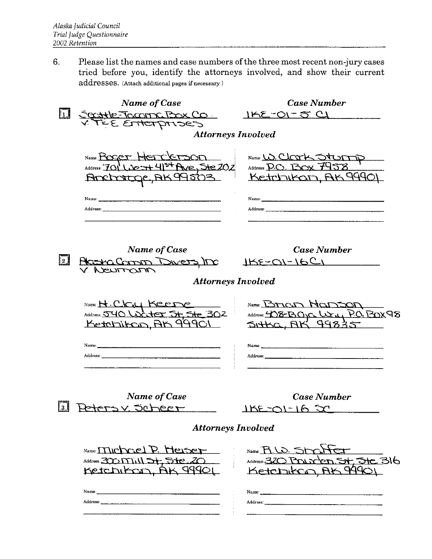6. Please list the names and case numbers of the three most recent non-jury cases tried before you, identify the attorneys involved, and show their current  $addresses.$  (Attach additional pages if necessary.)

|                     | Name of Case                                                                                         | <b>Case Number</b>                                                                                                                                                                                                                              |
|---------------------|------------------------------------------------------------------------------------------------------|-------------------------------------------------------------------------------------------------------------------------------------------------------------------------------------------------------------------------------------------------|
| $\lfloor 1 \rfloor$ | Second Box Co.                                                                                       | 1KE-01-5 CI                                                                                                                                                                                                                                     |
|                     |                                                                                                      |                                                                                                                                                                                                                                                 |
|                     | <b>Attorneys Involved</b>                                                                            |                                                                                                                                                                                                                                                 |
|                     | Name Boger Herclerson                                                                                | Name: W. Clark Sturn                                                                                                                                                                                                                            |
|                     | Address: 701 Licent 415+ Ave, Ste 202                                                                | Address $D_O$ . Thor $\mathcal{F}$                                                                                                                                                                                                              |
|                     | Ancharge, AK99503                                                                                    | Ketchikan, AK 9990                                                                                                                                                                                                                              |
|                     |                                                                                                      |                                                                                                                                                                                                                                                 |
|                     |                                                                                                      | Name: $\frac{1}{2}$                                                                                                                                                                                                                             |
|                     | Address: Address: Address: Address: Address: Address: Address: Address: Address: Address: Address: A |                                                                                                                                                                                                                                                 |
|                     |                                                                                                      |                                                                                                                                                                                                                                                 |
|                     |                                                                                                      |                                                                                                                                                                                                                                                 |
|                     | Name of Case                                                                                         | <b>Case Number</b>                                                                                                                                                                                                                              |
| [2]                 | Alcana Canon Dwers, Inc.                                                                             | $155-01-1621$                                                                                                                                                                                                                                   |
|                     | <b>Attorneys Involved</b>                                                                            |                                                                                                                                                                                                                                                 |
|                     |                                                                                                      |                                                                                                                                                                                                                                                 |
|                     | Name H. C.C.U Keere                                                                                  | Name: Brican Hanson                                                                                                                                                                                                                             |
|                     | Address: 540 Water 5t, 5te 302                                                                       | Address: 408-BOIC WWW PO. BOX98                                                                                                                                                                                                                 |
|                     | Ketchitco, AK 99901                                                                                  | DIARO, BR<br>99833                                                                                                                                                                                                                              |
|                     |                                                                                                      |                                                                                                                                                                                                                                                 |
|                     |                                                                                                      | Name: $\frac{1}{2}$ , $\frac{1}{2}$ , $\frac{1}{2}$ , $\frac{1}{2}$ , $\frac{1}{2}$ , $\frac{1}{2}$ , $\frac{1}{2}$ , $\frac{1}{2}$ , $\frac{1}{2}$ , $\frac{1}{2}$ , $\frac{1}{2}$ , $\frac{1}{2}$ , $\frac{1}{2}$ , $\frac{1}{2}$ , $\frac{1$ |
|                     |                                                                                                      |                                                                                                                                                                                                                                                 |
|                     |                                                                                                      |                                                                                                                                                                                                                                                 |
|                     |                                                                                                      |                                                                                                                                                                                                                                                 |
|                     | Name of Case                                                                                         | <b>Case Number</b>                                                                                                                                                                                                                              |
| 3 J                 | Petersy scheer                                                                                       | 1RE-01-16 5C                                                                                                                                                                                                                                    |
|                     | <b>Attorneys Involved</b>                                                                            |                                                                                                                                                                                                                                                 |
|                     |                                                                                                      |                                                                                                                                                                                                                                                 |
|                     | Name: MIChriel P. Heiser                                                                             | $Name$ $R \omega$ $St$                                                                                                                                                                                                                          |
|                     | Address: 300 Mill 5+ 5te. 20                                                                         | Address: 320 Prux<br><u>en St. Stc. 316</u>                                                                                                                                                                                                     |
|                     | AX 99901<br>Ketchikan                                                                                | Ketchikco AK 9990                                                                                                                                                                                                                               |
|                     |                                                                                                      |                                                                                                                                                                                                                                                 |
|                     |                                                                                                      |                                                                                                                                                                                                                                                 |
|                     |                                                                                                      |                                                                                                                                                                                                                                                 |
|                     |                                                                                                      |                                                                                                                                                                                                                                                 |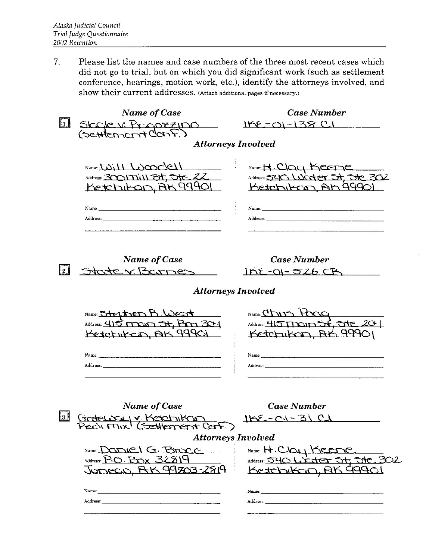7. Please list the names and case numbers of the three most recent cases which did not go to trial, but on which you did significant work (such as settlement conference, hearings, motion work, etc.), identify the attorneys involved, and show their current addresses. (Attach additional pages if necessary.)

|       | <b>Name of Case</b>                                                                                                                                                                                                                                                                                                                | <b>Case Number</b>                                                                                                                                                                                                                                                                                                                                                                                             |  |  |  |  |  |
|-------|------------------------------------------------------------------------------------------------------------------------------------------------------------------------------------------------------------------------------------------------------------------------------------------------------------------------------------|----------------------------------------------------------------------------------------------------------------------------------------------------------------------------------------------------------------------------------------------------------------------------------------------------------------------------------------------------------------------------------------------------------------|--|--|--|--|--|
|       | LL SICOLE V. PECOZZIDO<br>(SEHTERNENT CONF.)                                                                                                                                                                                                                                                                                       | <u>1KE-01-138 CI</u>                                                                                                                                                                                                                                                                                                                                                                                           |  |  |  |  |  |
|       |                                                                                                                                                                                                                                                                                                                                    |                                                                                                                                                                                                                                                                                                                                                                                                                |  |  |  |  |  |
|       | <b>Attorneys Involved</b>                                                                                                                                                                                                                                                                                                          |                                                                                                                                                                                                                                                                                                                                                                                                                |  |  |  |  |  |
|       | Name $(\mathcal{W}(1), (\mathcal{W}(2))$<br>Address: 300171111 5t, 5tc 22<br>Ketchikan, AK 99901                                                                                                                                                                                                                                   | Name: H. Clay Keene<br>Address: 540 Worter St, 5te 302<br>Ketchikcon, AK 99901                                                                                                                                                                                                                                                                                                                                 |  |  |  |  |  |
|       | Address: Address: Address: Address: Address: Address: Address: Address: Address: Address: Address: A                                                                                                                                                                                                                               | Address: the contract of the contract of the contract of the contract of the contract of the contract of the contract of the contract of the contract of the contract of the contract of the contract of the contract of the c                                                                                                                                                                                 |  |  |  |  |  |
| l 2 I | Name of Case<br>State v Barnes                                                                                                                                                                                                                                                                                                     | <b>Case Number</b><br><u> IKE-OI- 526 CB</u>                                                                                                                                                                                                                                                                                                                                                                   |  |  |  |  |  |
|       | <b>Attorneys Involved</b>                                                                                                                                                                                                                                                                                                          |                                                                                                                                                                                                                                                                                                                                                                                                                |  |  |  |  |  |
|       | Name: Stephen R. West<br>Address: 415 TTOUT 54, BM 304<br>Ketchikan, AK 99901                                                                                                                                                                                                                                                      | Name: Chris Hock<br>Address: 415 MC110 54, 510 204<br>Ketchikan, BK 99901<br>Name. $\frac{1}{2}$ $\frac{1}{2}$ $\frac{1}{2}$ $\frac{1}{2}$ $\frac{1}{2}$ $\frac{1}{2}$ $\frac{1}{2}$ $\frac{1}{2}$ $\frac{1}{2}$ $\frac{1}{2}$ $\frac{1}{2}$ $\frac{1}{2}$ $\frac{1}{2}$ $\frac{1}{2}$ $\frac{1}{2}$ $\frac{1}{2}$ $\frac{1}{2}$ $\frac{1}{2}$ $\frac{1}{2}$ $\frac{1}{2}$ $\frac{1}{2}$ $\frac{1$<br>Address: |  |  |  |  |  |
| [3]   | <b>Name of Case</b><br>Grateway Yetchikan<br>Preck Mix <sup>1</sup> (Scettlement ConF)<br><b>Attorneys Involved</b><br>Name Daniel G. Broce<br>Address: $P O$ . $P_{\text{max}}$ 32819<br>JUNECUS, AK 99803-2819<br>Name: 2008.000 PM 2008.000 PM 2008.000 PM 2009.000 PM 2009.000 PM 2009.000 PM 2009.000 PM 2009.000 PM 2009.000 | <b>Case Number</b><br>1KE-C1-31 C1<br>Name H. Clay Keene<br>Address: 540 Licitor 54, 5te 302<br>Ketchikan, BK 99901<br>Name:                                                                                                                                                                                                                                                                                   |  |  |  |  |  |
|       | Address: Address: Address: Address: Address: Address: Address: Address: Address: Address: Address: A                                                                                                                                                                                                                               |                                                                                                                                                                                                                                                                                                                                                                                                                |  |  |  |  |  |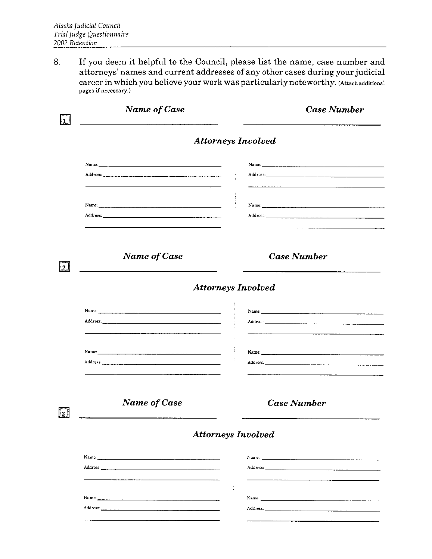If you deem it helpful to the Council, please list the name, case number and 8. attorneys' names and current addresses of any other cases during your judicial career in which you believe your work was particularly noteworthy. (Attachadditional pages if necessary.)

| <b>Name of Case</b>       | <b>Case Number</b>        |  |  |  |  |
|---------------------------|---------------------------|--|--|--|--|
|                           | <b>Attorneys Involved</b> |  |  |  |  |
|                           |                           |  |  |  |  |
|                           |                           |  |  |  |  |
|                           |                           |  |  |  |  |
|                           |                           |  |  |  |  |
|                           |                           |  |  |  |  |
| <b>Name of Case</b>       | <b>Case Number</b>        |  |  |  |  |
| <b>Attorneys Involved</b> |                           |  |  |  |  |
|                           |                           |  |  |  |  |
|                           |                           |  |  |  |  |
|                           |                           |  |  |  |  |
|                           |                           |  |  |  |  |
|                           |                           |  |  |  |  |
| Name of Case              | <b>Case Number</b>        |  |  |  |  |
|                           |                           |  |  |  |  |
|                           | <b>Attorneys Involved</b> |  |  |  |  |
|                           |                           |  |  |  |  |
|                           |                           |  |  |  |  |
|                           |                           |  |  |  |  |
|                           |                           |  |  |  |  |
|                           |                           |  |  |  |  |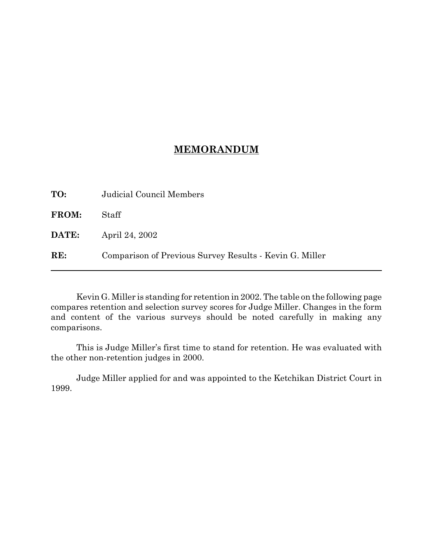## **MEMORANDUM**

| TO:          | Judicial Council Members                                |
|--------------|---------------------------------------------------------|
| FROM:        | Staff                                                   |
| <b>DATE:</b> | April 24, 2002                                          |
| RE:          | Comparison of Previous Survey Results - Kevin G. Miller |

Kevin G. Miller is standing for retention in 2002. The table on the following page compares retention and selection survey scores for Judge Miller. Changes in the form and content of the various surveys should be noted carefully in making any comparisons.

This is Judge Miller's first time to stand for retention. He was evaluated with the other non-retention judges in 2000.

Judge Miller applied for and was appointed to the Ketchikan District Court in 1999.